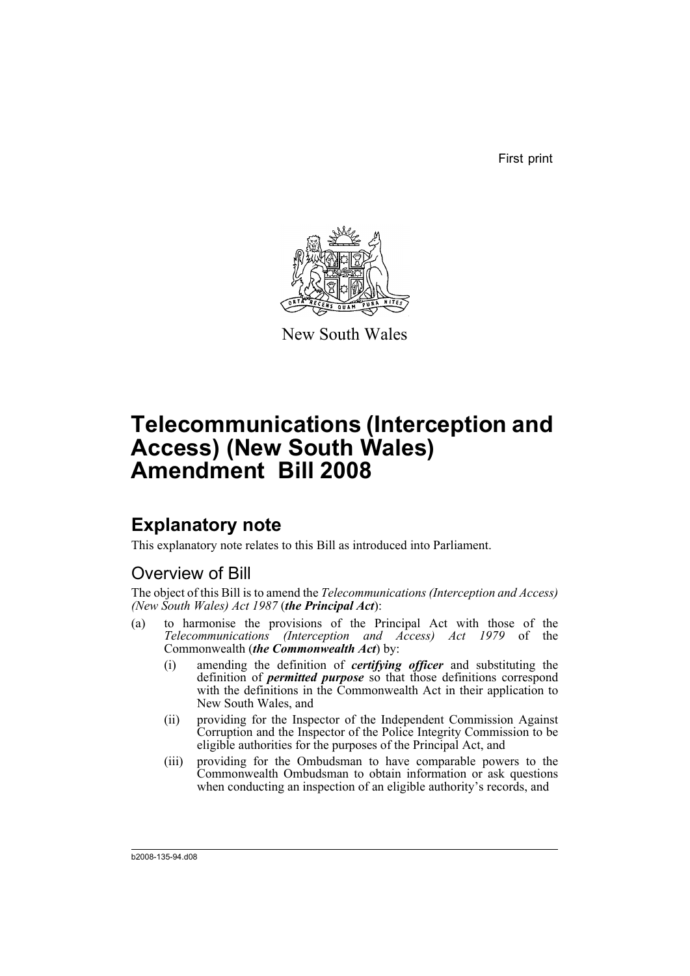First print



New South Wales

# **Telecommunications (Interception and Access) (New South Wales) Amendment Bill 2008**

# **Explanatory note**

This explanatory note relates to this Bill as introduced into Parliament.

# Overview of Bill

The object of this Bill is to amend the *Telecommunications (Interception and Access) (New South Wales) Act 1987* (*the Principal Act*):

- (a) to harmonise the provisions of the Principal Act with those of the *Telecommunications (Interception and Access) Act 1979* of the Commonwealth (*the Commonwealth Act*) by:
	- (i) amending the definition of *certifying officer* and substituting the definition of *permitted purpose* so that those definitions correspond with the definitions in the Commonwealth Act in their application to New South Wales, and
	- (ii) providing for the Inspector of the Independent Commission Against Corruption and the Inspector of the Police Integrity Commission to be eligible authorities for the purposes of the Principal Act, and
	- (iii) providing for the Ombudsman to have comparable powers to the Commonwealth Ombudsman to obtain information or ask questions when conducting an inspection of an eligible authority's records, and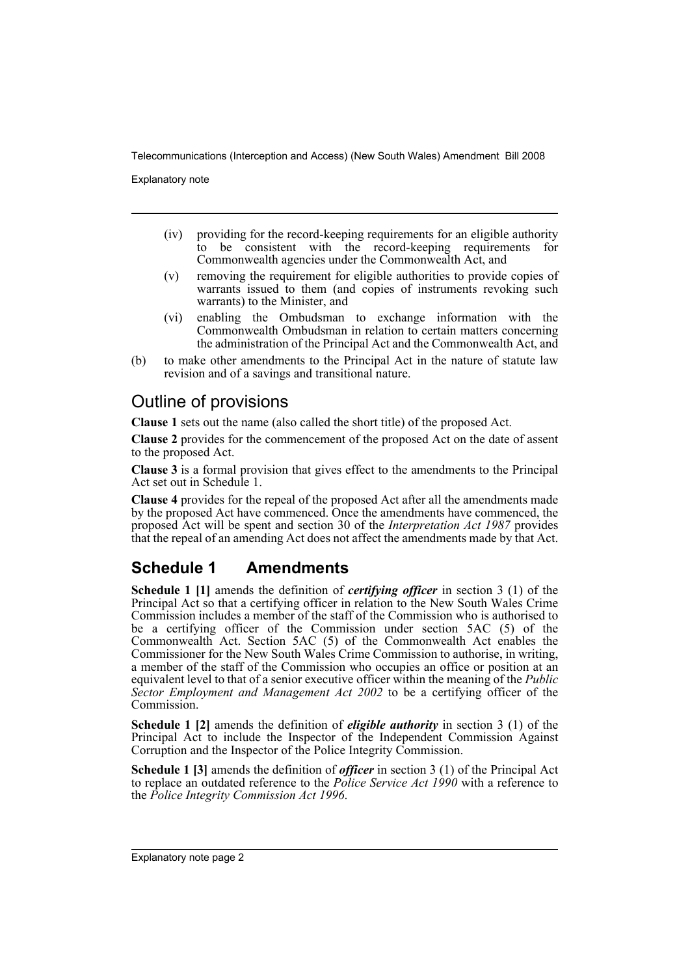Explanatory note

- (iv) providing for the record-keeping requirements for an eligible authority to be consistent with the record-keeping requirements for Commonwealth agencies under the Commonwealth Act, and
- (v) removing the requirement for eligible authorities to provide copies of warrants issued to them (and copies of instruments revoking such warrants) to the Minister, and
- (vi) enabling the Ombudsman to exchange information with the Commonwealth Ombudsman in relation to certain matters concerning the administration of the Principal Act and the Commonwealth Act, and
- (b) to make other amendments to the Principal Act in the nature of statute law revision and of a savings and transitional nature.

## Outline of provisions

**Clause 1** sets out the name (also called the short title) of the proposed Act.

**Clause 2** provides for the commencement of the proposed Act on the date of assent to the proposed Act.

**Clause 3** is a formal provision that gives effect to the amendments to the Principal Act set out in Schedule 1.

**Clause 4** provides for the repeal of the proposed Act after all the amendments made by the proposed Act have commenced. Once the amendments have commenced, the proposed Act will be spent and section 30 of the *Interpretation Act 1987* provides that the repeal of an amending Act does not affect the amendments made by that Act.

# **Schedule 1 Amendments**

**Schedule 1 [1]** amends the definition of *certifying officer* in section 3 (1) of the Principal Act so that a certifying officer in relation to the New South Wales Crime Commission includes a member of the staff of the Commission who is authorised to be a certifying officer of the Commission under section 5AC (5) of the Commonwealth Act. Section 5AC (5) of the Commonwealth Act enables the Commissioner for the New South Wales Crime Commission to authorise, in writing, a member of the staff of the Commission who occupies an office or position at an equivalent level to that of a senior executive officer within the meaning of the *Public Sector Employment and Management Act 2002* to be a certifying officer of the Commission.

**Schedule 1 [2]** amends the definition of *eligible authority* in section 3 (1) of the Principal Act to include the Inspector of the Independent Commission Against Corruption and the Inspector of the Police Integrity Commission.

**Schedule 1 [3]** amends the definition of *officer* in section 3 (1) of the Principal Act to replace an outdated reference to the *Police Service Act 1990* with a reference to the *Police Integrity Commission Act 1996*.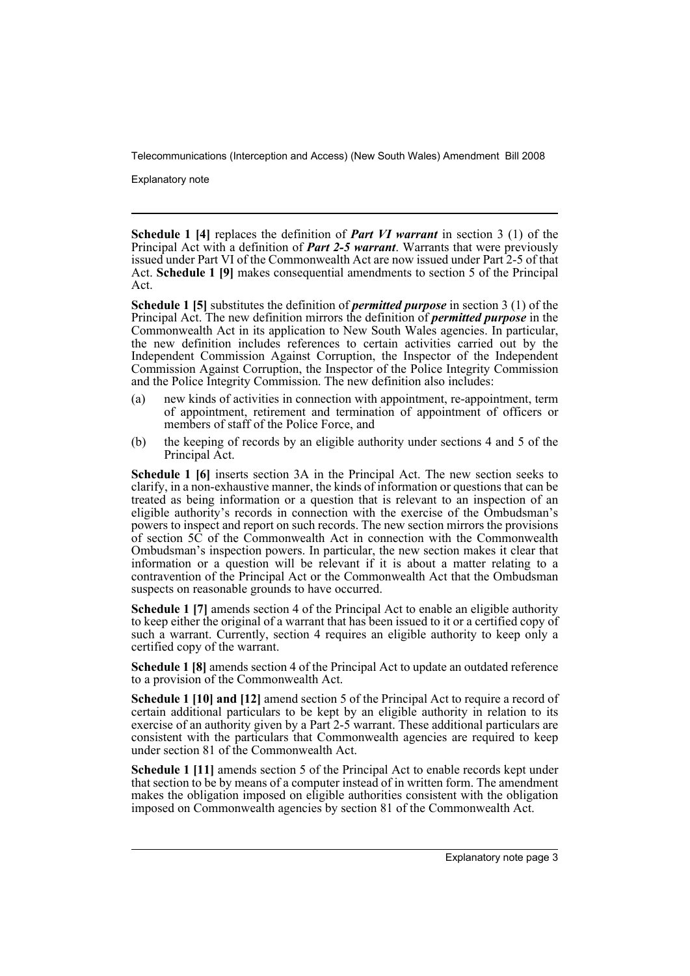Explanatory note

**Schedule 1 [4]** replaces the definition of *Part VI warrant* in section 3 (1) of the Principal Act with a definition of *Part 2-5 warrant*. Warrants that were previously issued under Part VI of the Commonwealth Act are now issued under Part 2-5 of that Act. **Schedule 1 [9]** makes consequential amendments to section 5 of the Principal Act.

**Schedule 1 [5]** substitutes the definition of *permitted purpose* in section 3 (1) of the Principal Act. The new definition mirrors the definition of *permitted purpose* in the Commonwealth Act in its application to New South Wales agencies. In particular, the new definition includes references to certain activities carried out by the Independent Commission Against Corruption, the Inspector of the Independent Commission Against Corruption, the Inspector of the Police Integrity Commission and the Police Integrity Commission. The new definition also includes:

- (a) new kinds of activities in connection with appointment, re-appointment, term of appointment, retirement and termination of appointment of officers or members of staff of the Police Force, and
- (b) the keeping of records by an eligible authority under sections 4 and 5 of the Principal Act.

**Schedule 1 [6]** inserts section 3A in the Principal Act. The new section seeks to clarify, in a non-exhaustive manner, the kinds of information or questions that can be treated as being information or a question that is relevant to an inspection of an eligible authority's records in connection with the exercise of the Ombudsman's powers to inspect and report on such records. The new section mirrors the provisions of section 5C of the Commonwealth Act in connection with the Commonwealth Ombudsman's inspection powers. In particular, the new section makes it clear that information or a question will be relevant if it is about a matter relating to a contravention of the Principal Act or the Commonwealth Act that the Ombudsman suspects on reasonable grounds to have occurred.

**Schedule 1 [7]** amends section 4 of the Principal Act to enable an eligible authority to keep either the original of a warrant that has been issued to it or a certified copy of such a warrant. Currently, section 4 requires an eligible authority to keep only a certified copy of the warrant.

**Schedule 1 [8]** amends section 4 of the Principal Act to update an outdated reference to a provision of the Commonwealth Act.

**Schedule 1 [10] and [12]** amend section 5 of the Principal Act to require a record of certain additional particulars to be kept by an eligible authority in relation to its exercise of an authority given by a Part 2-5 warrant. These additional particulars are consistent with the particulars that Commonwealth agencies are required to keep under section 81 of the Commonwealth Act.

**Schedule 1 [11]** amends section 5 of the Principal Act to enable records kept under that section to be by means of a computer instead of in written form. The amendment makes the obligation imposed on eligible authorities consistent with the obligation imposed on Commonwealth agencies by section 81 of the Commonwealth Act.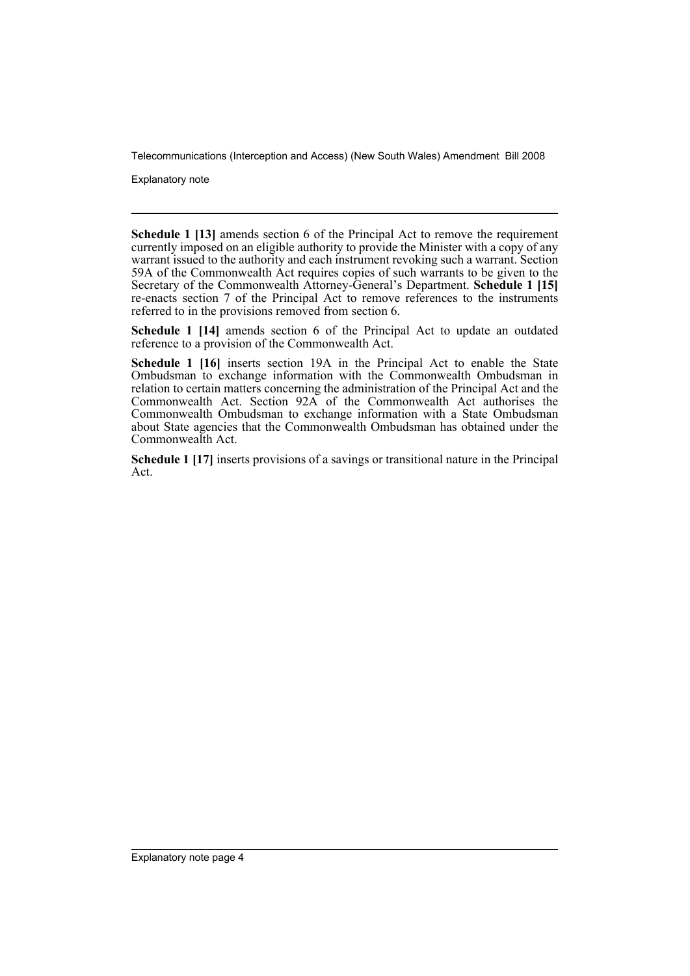Explanatory note

**Schedule 1 [13]** amends section 6 of the Principal Act to remove the requirement currently imposed on an eligible authority to provide the Minister with a copy of any warrant issued to the authority and each instrument revoking such a warrant. Section 59A of the Commonwealth Act requires copies of such warrants to be given to the Secretary of the Commonwealth Attorney-General's Department. **Schedule 1 [15]** re-enacts section 7 of the Principal Act to remove references to the instruments referred to in the provisions removed from section 6.

**Schedule 1 [14]** amends section 6 of the Principal Act to update an outdated reference to a provision of the Commonwealth Act.

**Schedule 1 [16]** inserts section 19A in the Principal Act to enable the State Ombudsman to exchange information with the Commonwealth Ombudsman in relation to certain matters concerning the administration of the Principal Act and the Commonwealth Act. Section 92A of the Commonwealth Act authorises the Commonwealth Ombudsman to exchange information with a State Ombudsman about State agencies that the Commonwealth Ombudsman has obtained under the Commonwealth Act.

**Schedule 1 [17]** inserts provisions of a savings or transitional nature in the Principal Act.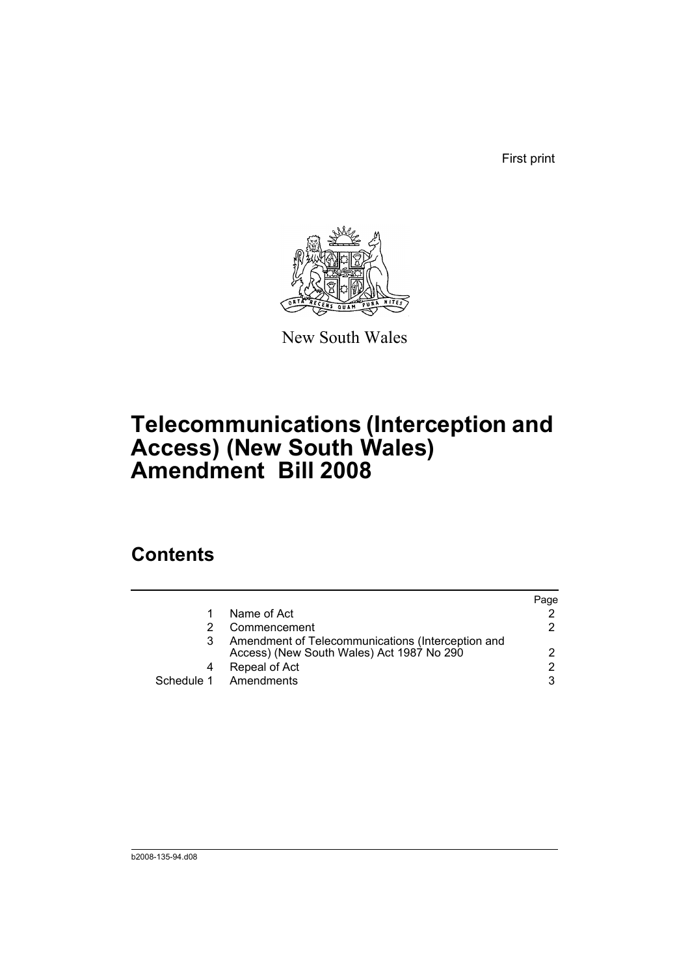First print



New South Wales

# **Telecommunications (Interception and Access) (New South Wales) Amendment Bill 2008**

# **Contents**

|   |                                                                                                | Page |
|---|------------------------------------------------------------------------------------------------|------|
|   | Name of Act                                                                                    |      |
|   | Commencement                                                                                   | 2.   |
| 3 | Amendment of Telecommunications (Interception and<br>Access) (New South Wales) Act 1987 No 290 |      |
| 4 | Repeal of Act                                                                                  | 2    |
|   | Schedule 1 Amendments                                                                          | 3    |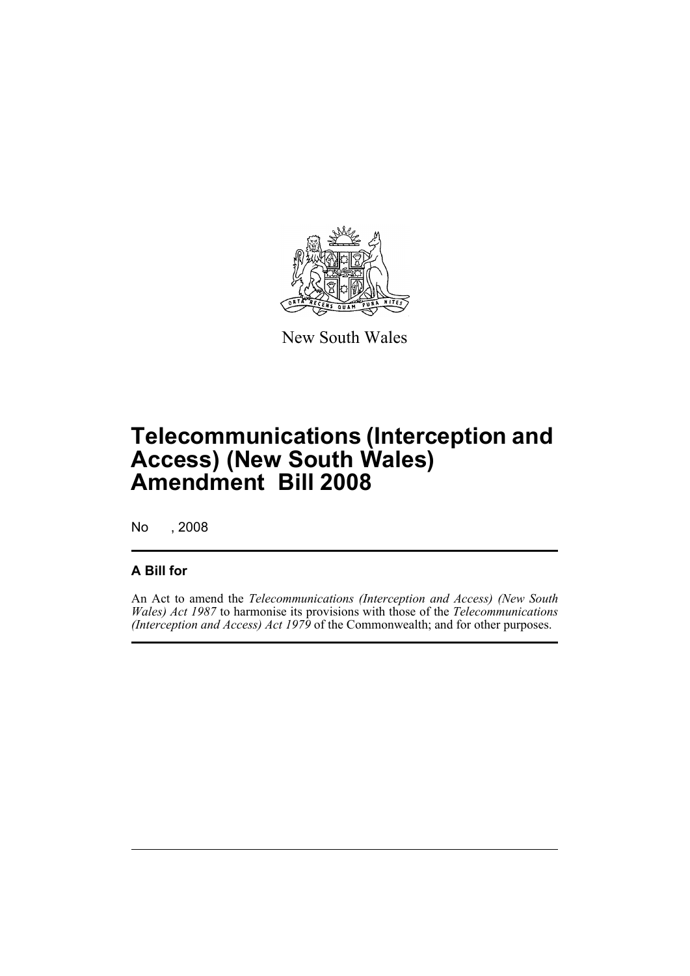

New South Wales

# **Telecommunications (Interception and Access) (New South Wales) Amendment Bill 2008**

No , 2008

## **A Bill for**

An Act to amend the *Telecommunications (Interception and Access) (New South Wales) Act 1987* to harmonise its provisions with those of the *Telecommunications (Interception and Access) Act 1979* of the Commonwealth; and for other purposes.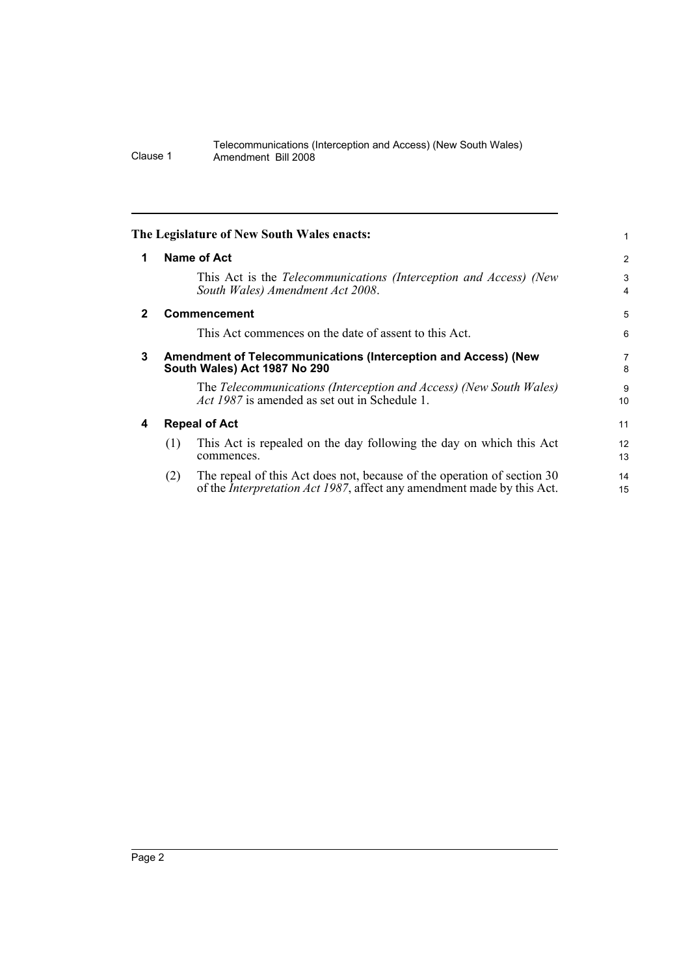<span id="page-7-3"></span><span id="page-7-2"></span><span id="page-7-1"></span><span id="page-7-0"></span>

|              | The Legislature of New South Wales enacts:                                                                                                                       |                |  |  |  |
|--------------|------------------------------------------------------------------------------------------------------------------------------------------------------------------|----------------|--|--|--|
| 1            | Name of Act                                                                                                                                                      | $\overline{c}$ |  |  |  |
|              | This Act is the Telecommunications (Interception and Access) (New<br>South Wales) Amendment Act 2008.                                                            | 3<br>4         |  |  |  |
| $\mathbf{2}$ | <b>Commencement</b>                                                                                                                                              | 5              |  |  |  |
|              | This Act commences on the date of assent to this Act.                                                                                                            | 6              |  |  |  |
| 3            | Amendment of Telecommunications (Interception and Access) (New<br>South Wales) Act 1987 No 290                                                                   |                |  |  |  |
|              | The Telecommunications (Interception and Access) (New South Wales)<br><i>Act 1987</i> is amended as set out in Schedule 1.                                       | 9<br>10        |  |  |  |
| 4            | <b>Repeal of Act</b>                                                                                                                                             |                |  |  |  |
|              | This Act is repealed on the day following the day on which this Act<br>(1)<br>commences.                                                                         | 12<br>13       |  |  |  |
|              | The repeal of this Act does not, because of the operation of section 30<br>(2)<br>of the <i>Interpretation Act 1987</i> , affect any amendment made by this Act. | 14<br>15       |  |  |  |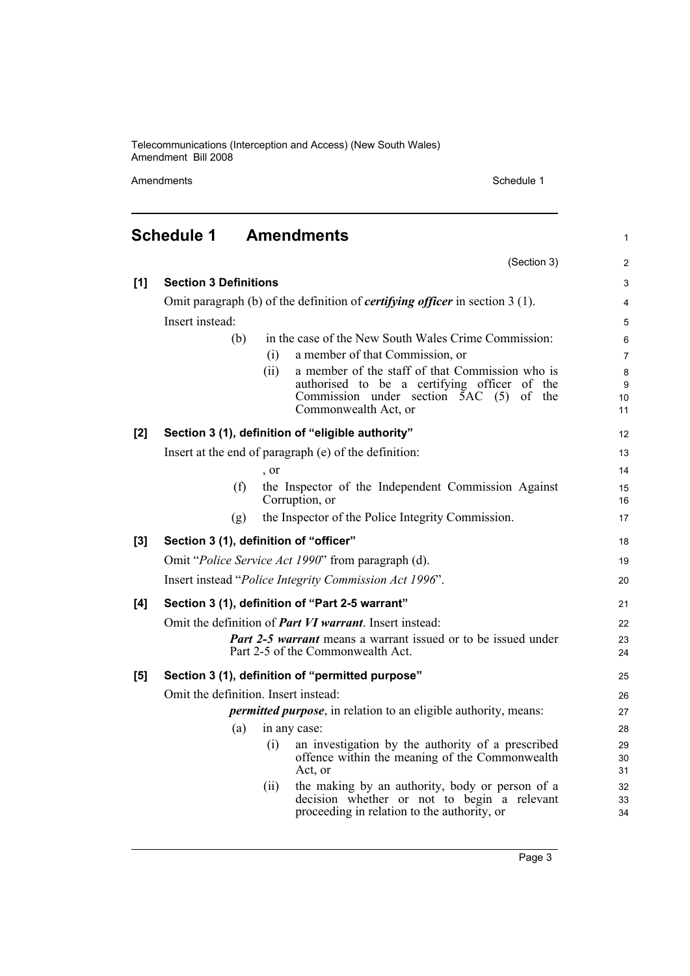Amendments Schedule 1

(Section 3)

1

2

# <span id="page-8-0"></span>**Schedule 1 Amendments**

| [1] | <b>Section 3 Definitions</b>                                            |              |                                                                                       | 3                     |  |  |
|-----|-------------------------------------------------------------------------|--------------|---------------------------------------------------------------------------------------|-----------------------|--|--|
|     |                                                                         |              | Omit paragraph (b) of the definition of <i>certifying officer</i> in section $3(1)$ . | $\overline{4}$        |  |  |
|     | Insert instead:                                                         |              |                                                                                       |                       |  |  |
|     | (b)                                                                     |              | in the case of the New South Wales Crime Commission:                                  | 6                     |  |  |
|     |                                                                         | (i)          | a member of that Commission, or                                                       | $\overline{7}$        |  |  |
|     |                                                                         | (ii)         | a member of the staff of that Commission who is                                       | $\bf 8$               |  |  |
|     |                                                                         |              | authorised to be a certifying officer of the                                          | 9                     |  |  |
|     |                                                                         |              | Commission under section $\overline{5}AC$ (5) of the<br>Commonwealth Act, or          | 10 <sup>1</sup><br>11 |  |  |
| [2] |                                                                         |              | Section 3 (1), definition of "eligible authority"                                     | 12                    |  |  |
|     |                                                                         |              | Insert at the end of paragraph (e) of the definition:                                 | 13                    |  |  |
|     |                                                                         | , or         |                                                                                       | 14                    |  |  |
|     | (f)                                                                     |              | the Inspector of the Independent Commission Against                                   | 15                    |  |  |
|     |                                                                         |              | Corruption, or                                                                        | 16                    |  |  |
|     | (g)                                                                     |              | the Inspector of the Police Integrity Commission.                                     | 17                    |  |  |
| [3] | Section 3 (1), definition of "officer"                                  |              |                                                                                       |                       |  |  |
|     |                                                                         |              | Omit "Police Service Act 1990" from paragraph (d).                                    | 19                    |  |  |
|     |                                                                         |              | Insert instead "Police Integrity Commission Act 1996".                                | 20                    |  |  |
| [4] |                                                                         |              | Section 3 (1), definition of "Part 2-5 warrant"                                       | 21                    |  |  |
|     |                                                                         |              | Omit the definition of <i>Part VI warrant</i> . Insert instead:                       | 22                    |  |  |
|     | <b>Part 2-5 warrant</b> means a warrant issued or to be issued under    |              |                                                                                       |                       |  |  |
|     |                                                                         |              | Part 2-5 of the Commonwealth Act.                                                     | 24                    |  |  |
| [5] |                                                                         |              | Section 3 (1), definition of "permitted purpose"                                      | 25                    |  |  |
|     | Omit the definition. Insert instead:                                    |              |                                                                                       |                       |  |  |
|     | <i>permitted purpose</i> , in relation to an eligible authority, means: |              |                                                                                       |                       |  |  |
|     | (a)                                                                     | in any case: |                                                                                       |                       |  |  |
|     |                                                                         | (i)          | an investigation by the authority of a prescribed                                     | 29                    |  |  |
|     |                                                                         |              | offence within the meaning of the Commonwealth<br>Act, or                             | 30<br>31              |  |  |
|     |                                                                         | (ii)         | the making by an authority, body or person of a                                       | 32                    |  |  |
|     |                                                                         |              | decision whether or not to begin a relevant                                           | 33                    |  |  |
|     |                                                                         |              | proceeding in relation to the authority, or                                           | 34                    |  |  |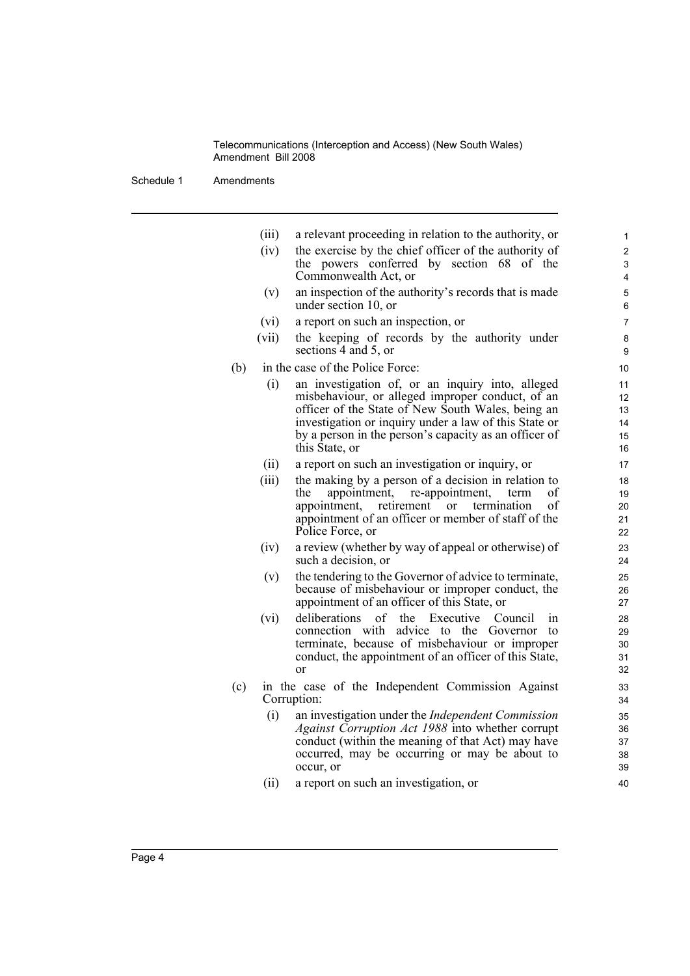Schedule 1 Amendments

(iii) a relevant proceeding in relation to the authority, or

- (iv) the exercise by the chief officer of the authority of the powers conferred by section 68 of the Commonwealth Act, or
- (v) an inspection of the authority's records that is made under section 10, or
- (vi) a report on such an inspection, or
- (vii) the keeping of records by the authority under sections 4 and 5, or
- (b) in the case of the Police Force:
	- (i) an investigation of, or an inquiry into, alleged misbehaviour, or alleged improper conduct, of an officer of the State of New South Wales, being an investigation or inquiry under a law of this State or by a person in the person's capacity as an officer of this State, or
	- (ii) a report on such an investigation or inquiry, or
	- (iii) the making by a person of a decision in relation to the appointment, re-appointment, term of appointment, retirement or termination of appointment of an officer or member of staff of the Police Force, or
	- (iv) a review (whether by way of appeal or otherwise) of such a decision, or
	- (v) the tendering to the Governor of advice to terminate, because of misbehaviour or improper conduct, the appointment of an officer of this State, or
	- (vi) deliberations of the Executive Council in connection with advice to the Governor to terminate, because of misbehaviour or improper conduct, the appointment of an officer of this State, or
- (c) in the case of the Independent Commission Against Corruption:
	- (i) an investigation under the *Independent Commission Against Corruption Act 1988* into whether corrupt conduct (within the meaning of that Act) may have occurred, may be occurring or may be about to occur, or
	- (ii) a report on such an investigation, or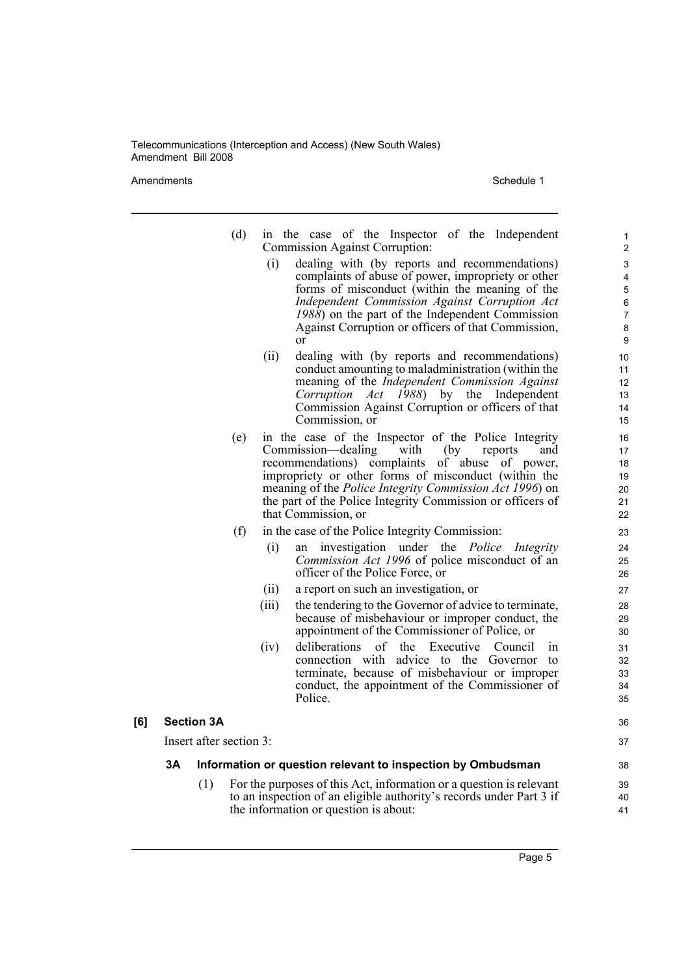Amendments Schedule 1

| (d) | in the case of the Inspector of the Independent<br><b>Commission Against Corruption:</b>                                                                                                                                                                                                                                                                               |          |
|-----|------------------------------------------------------------------------------------------------------------------------------------------------------------------------------------------------------------------------------------------------------------------------------------------------------------------------------------------------------------------------|----------|
|     | (i)<br>dealing with (by reports and recommendations)<br>complaints of abuse of power, impropriety or other<br>forms of misconduct (within the meaning of the<br>Independent Commission Against Corruption Act<br>$1988$ ) on the part of the Independent Commission<br>Against Corruption or officers of that Commission,<br>or                                        |          |
|     | (ii)<br>dealing with (by reports and recommendations)<br>conduct amounting to maladministration (within the<br>meaning of the Independent Commission Against<br>$1988$ ) by the<br>Corruption Act<br>Independent<br>Commission Against Corruption or officers of that<br>Commission, or                                                                                |          |
| (e) | in the case of the Inspector of the Police Integrity<br>Commission—dealing with<br>reports<br>and<br>(by)<br>recommendations) complaints of abuse<br>of power,<br>impropriety or other forms of misconduct (within the<br>meaning of the Police Integrity Commission Act 1996) on<br>the part of the Police Integrity Commission or officers of<br>that Commission, or |          |
| (f) | in the case of the Police Integrity Commission:                                                                                                                                                                                                                                                                                                                        |          |
|     | investigation under the <i>Police Integrity</i><br>(i)<br>an<br>Commission Act 1996 of police misconduct of an<br>officer of the Police Force, or                                                                                                                                                                                                                      |          |
|     | (ii)<br>a report on such an investigation, or                                                                                                                                                                                                                                                                                                                          |          |
|     | (iii)<br>the tendering to the Governor of advice to terminate,<br>because of misbehaviour or improper conduct, the<br>appointment of the Commissioner of Police, or                                                                                                                                                                                                    |          |
|     | Executive Council<br>(iv)<br>deliberations of the<br>connection with advice to the<br>Governor                                                                                                                                                                                                                                                                         | in<br>to |

terminate, because of misbehaviour or improper conduct, the appointment of the Commissioner of Police.

Insert after section 3:

**[6] Section 3A**

#### **3A Information or question relevant to inspection by Ombudsman**

(1) For the purposes of this Act, information or a question is relevant to an inspection of an eligible authority's records under Part 3 if the information or question is about: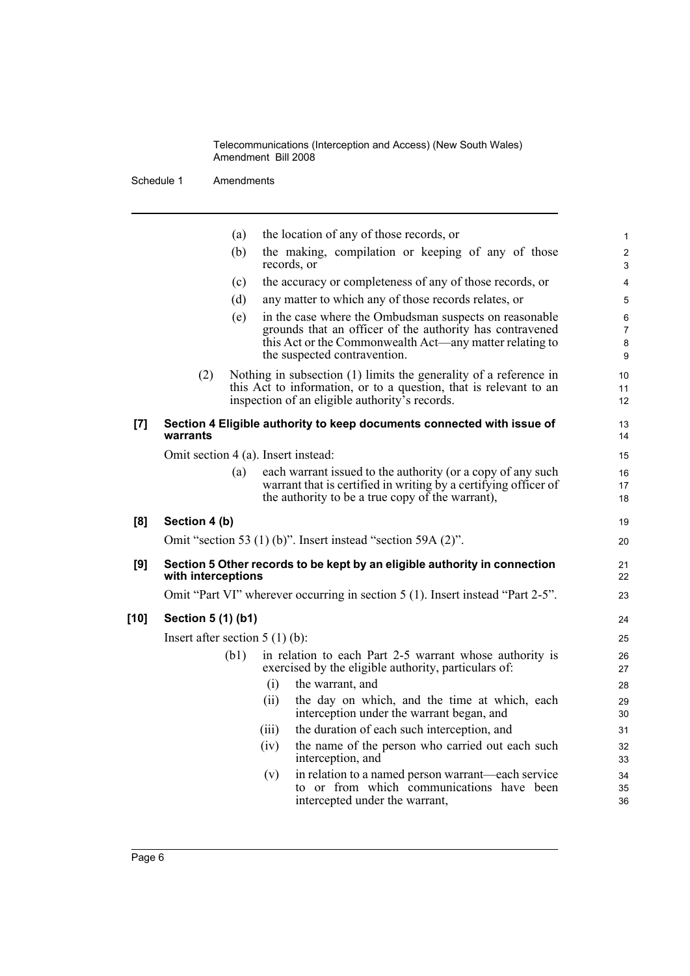Schedule 1 Amendments

|      |                    | (a)                              |                                     | the location of any of those records, or                                                                                                                                                                      |  |
|------|--------------------|----------------------------------|-------------------------------------|---------------------------------------------------------------------------------------------------------------------------------------------------------------------------------------------------------------|--|
|      |                    | (b)                              | records, or                         | the making, compilation or keeping of any of those                                                                                                                                                            |  |
|      |                    | (c)                              |                                     | the accuracy or completeness of any of those records, or                                                                                                                                                      |  |
|      |                    | (d)                              |                                     | any matter to which any of those records relates, or                                                                                                                                                          |  |
|      |                    | (e)                              |                                     | in the case where the Ombudsman suspects on reasonable<br>grounds that an officer of the authority has contravened<br>this Act or the Commonwealth Act—any matter relating to<br>the suspected contravention. |  |
|      | (2)                |                                  |                                     | Nothing in subsection $(1)$ limits the generality of a reference in<br>this Act to information, or to a question, that is relevant to an<br>inspection of an eligible authority's records.                    |  |
| [7]  | warrants           |                                  |                                     | Section 4 Eligible authority to keep documents connected with issue of                                                                                                                                        |  |
|      |                    |                                  | Omit section 4 (a). Insert instead: |                                                                                                                                                                                                               |  |
|      |                    | (a)                              |                                     | each warrant issued to the authority (or a copy of any such<br>warrant that is certified in writing by a certifying officer of<br>the authority to be a true copy of the warrant),                            |  |
| [8]  | Section 4 (b)      |                                  |                                     |                                                                                                                                                                                                               |  |
|      |                    |                                  |                                     | Omit "section 53 $(1)$ (b)". Insert instead "section 59A $(2)$ ".                                                                                                                                             |  |
| [9]  | with interceptions |                                  |                                     | Section 5 Other records to be kept by an eligible authority in connection                                                                                                                                     |  |
|      |                    |                                  |                                     | Omit "Part VI" wherever occurring in section 5 (1). Insert instead "Part 2-5".                                                                                                                                |  |
| [10] | Section 5 (1) (b1) |                                  |                                     |                                                                                                                                                                                                               |  |
|      |                    | Insert after section $5(1)(b)$ : |                                     |                                                                                                                                                                                                               |  |
|      |                    | (b1)                             |                                     | in relation to each Part 2-5 warrant whose authority is<br>exercised by the eligible authority, particulars of:                                                                                               |  |
|      |                    |                                  | (i)                                 | the warrant, and                                                                                                                                                                                              |  |
|      |                    |                                  | (ii)                                | the day on which, and the time at which, each<br>interception under the warrant began, and                                                                                                                    |  |
|      |                    |                                  | (iii)                               | the duration of each such interception, and                                                                                                                                                                   |  |
|      |                    |                                  | (iv)                                | the name of the person who carried out each such<br>interception, and                                                                                                                                         |  |
|      |                    |                                  | (v)                                 | in relation to a named person warrant—each service<br>to or from which communications have been<br>intercepted under the warrant,                                                                             |  |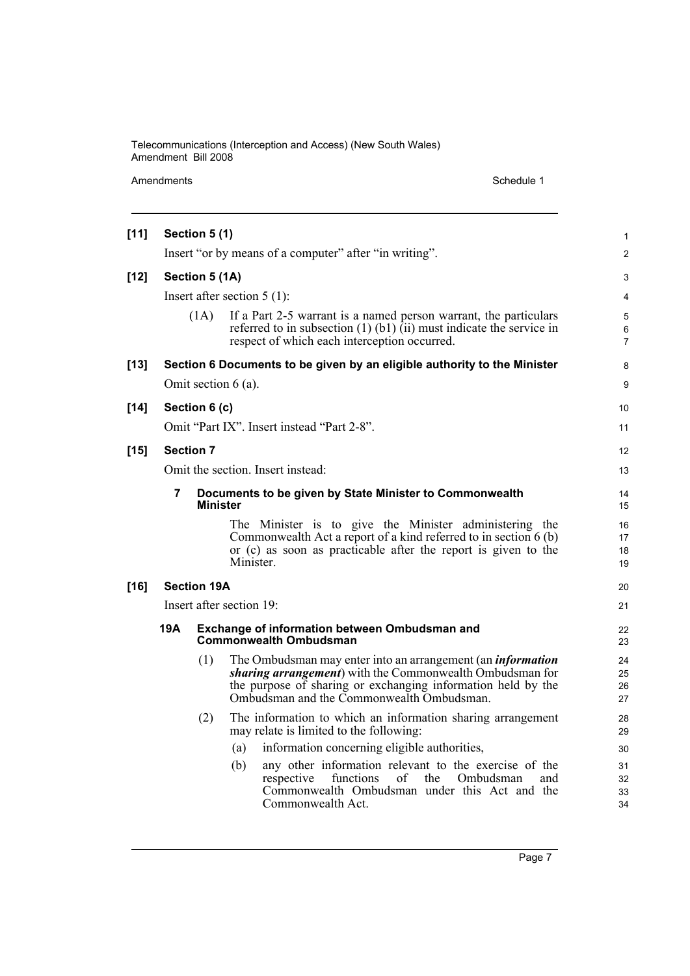Amendments Schedule 1

| $[11]$ |                             | Section 5 (1)                                                              |                                                                                                                                                                                                                                             |                      |  |  |
|--------|-----------------------------|----------------------------------------------------------------------------|---------------------------------------------------------------------------------------------------------------------------------------------------------------------------------------------------------------------------------------------|----------------------|--|--|
|        |                             |                                                                            | Insert "or by means of a computer" after "in writing".                                                                                                                                                                                      | $\overline{2}$       |  |  |
| $[12]$ | Section 5 (1A)              |                                                                            |                                                                                                                                                                                                                                             |                      |  |  |
|        |                             |                                                                            | Insert after section $5(1)$ :                                                                                                                                                                                                               | 4                    |  |  |
|        |                             | (1A)                                                                       | If a Part 2-5 warrant is a named person warrant, the particulars<br>referred to in subsection $(1)$ $(b1)$ $(ii)$ must indicate the service in<br>respect of which each interception occurred.                                              | 5<br>6<br>7          |  |  |
| $[13]$ |                             |                                                                            | Section 6 Documents to be given by an eligible authority to the Minister                                                                                                                                                                    | 8                    |  |  |
|        |                             |                                                                            | Omit section $6$ (a).                                                                                                                                                                                                                       | 9                    |  |  |
| $[14]$ |                             | Section 6 (c)                                                              |                                                                                                                                                                                                                                             | 10                   |  |  |
|        |                             |                                                                            | Omit "Part IX". Insert instead "Part 2-8".                                                                                                                                                                                                  | 11                   |  |  |
| $[15]$ | <b>Section 7</b>            |                                                                            |                                                                                                                                                                                                                                             |                      |  |  |
|        |                             |                                                                            | Omit the section. Insert instead:                                                                                                                                                                                                           | 13                   |  |  |
|        | 7                           | Documents to be given by State Minister to Commonwealth<br><b>Minister</b> | 14<br>15                                                                                                                                                                                                                                    |                      |  |  |
|        |                             |                                                                            | The Minister is to give the Minister administering the<br>Commonwealth Act a report of a kind referred to in section 6 (b)<br>or (c) as soon as practicable after the report is given to the<br>Minister.                                   | 16<br>17<br>18<br>19 |  |  |
| $[16]$ |                             | <b>Section 19A</b>                                                         |                                                                                                                                                                                                                                             | 20                   |  |  |
|        | Insert after section $19$ : |                                                                            |                                                                                                                                                                                                                                             |                      |  |  |
|        | 19A                         |                                                                            | Exchange of information between Ombudsman and<br><b>Commonwealth Ombudsman</b>                                                                                                                                                              | 22<br>23             |  |  |
|        |                             | (1)                                                                        | The Ombudsman may enter into an arrangement (an <i>information</i><br>sharing arrangement) with the Commonwealth Ombudsman for<br>the purpose of sharing or exchanging information held by the<br>Ombudsman and the Commonwealth Ombudsman. | 24<br>25<br>26<br>27 |  |  |
|        |                             | (2)                                                                        | The information to which an information sharing arrangement<br>may relate is limited to the following:                                                                                                                                      | 28<br>29             |  |  |
|        |                             |                                                                            | information concerning eligible authorities,<br>(a)                                                                                                                                                                                         | 30                   |  |  |
|        |                             |                                                                            | any other information relevant to the exercise of the<br>(b)<br>functions<br>of<br>Ombudsman<br>respective<br>the<br>and<br>Commonwealth Ombudsman under this Act and the<br>Commonwealth Act.                                              | 31<br>32<br>33<br>34 |  |  |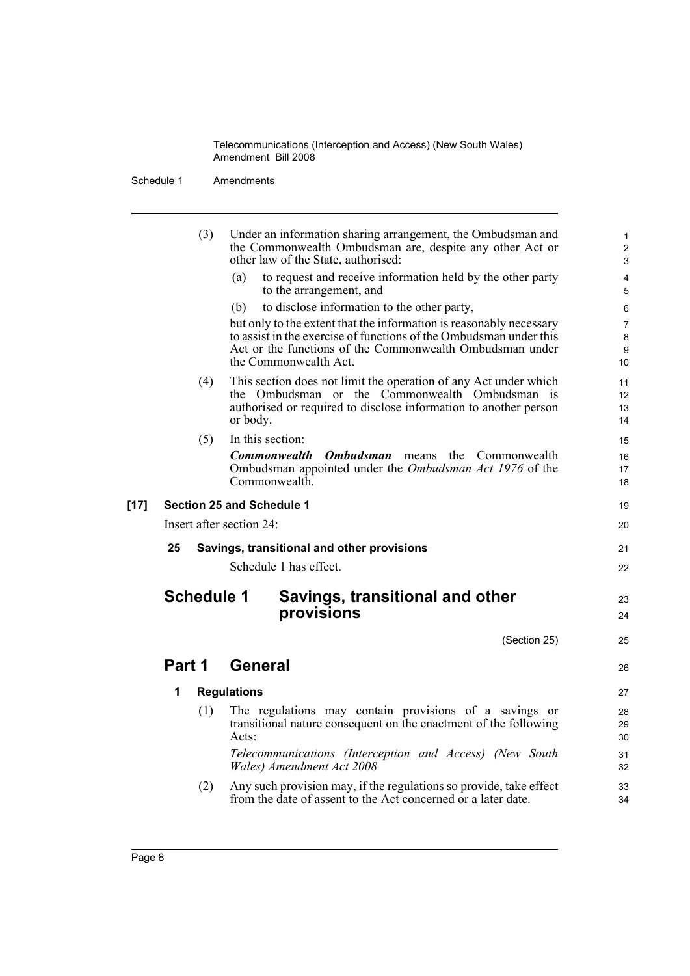Schedule 1 Amendments

| Under an information sharing arrangement, the Ombudsman and<br>the Commonwealth Ombudsman are, despite any other Act or |                                                                                                                                                                                                                                                                                                                                                                                                                                                                                                                                                                                                                                                                                                                                                                                                                                                                                                                                                                                                                                                                                               |
|-------------------------------------------------------------------------------------------------------------------------|-----------------------------------------------------------------------------------------------------------------------------------------------------------------------------------------------------------------------------------------------------------------------------------------------------------------------------------------------------------------------------------------------------------------------------------------------------------------------------------------------------------------------------------------------------------------------------------------------------------------------------------------------------------------------------------------------------------------------------------------------------------------------------------------------------------------------------------------------------------------------------------------------------------------------------------------------------------------------------------------------------------------------------------------------------------------------------------------------|
|                                                                                                                         |                                                                                                                                                                                                                                                                                                                                                                                                                                                                                                                                                                                                                                                                                                                                                                                                                                                                                                                                                                                                                                                                                               |
| other law of the State, authorised:                                                                                     |                                                                                                                                                                                                                                                                                                                                                                                                                                                                                                                                                                                                                                                                                                                                                                                                                                                                                                                                                                                                                                                                                               |
| to the arrangement, and                                                                                                 |                                                                                                                                                                                                                                                                                                                                                                                                                                                                                                                                                                                                                                                                                                                                                                                                                                                                                                                                                                                                                                                                                               |
|                                                                                                                         |                                                                                                                                                                                                                                                                                                                                                                                                                                                                                                                                                                                                                                                                                                                                                                                                                                                                                                                                                                                                                                                                                               |
|                                                                                                                         |                                                                                                                                                                                                                                                                                                                                                                                                                                                                                                                                                                                                                                                                                                                                                                                                                                                                                                                                                                                                                                                                                               |
|                                                                                                                         |                                                                                                                                                                                                                                                                                                                                                                                                                                                                                                                                                                                                                                                                                                                                                                                                                                                                                                                                                                                                                                                                                               |
|                                                                                                                         |                                                                                                                                                                                                                                                                                                                                                                                                                                                                                                                                                                                                                                                                                                                                                                                                                                                                                                                                                                                                                                                                                               |
| <b>Ombudsman</b> means<br>the<br>Commonwealth                                                                           |                                                                                                                                                                                                                                                                                                                                                                                                                                                                                                                                                                                                                                                                                                                                                                                                                                                                                                                                                                                                                                                                                               |
|                                                                                                                         |                                                                                                                                                                                                                                                                                                                                                                                                                                                                                                                                                                                                                                                                                                                                                                                                                                                                                                                                                                                                                                                                                               |
|                                                                                                                         |                                                                                                                                                                                                                                                                                                                                                                                                                                                                                                                                                                                                                                                                                                                                                                                                                                                                                                                                                                                                                                                                                               |
|                                                                                                                         |                                                                                                                                                                                                                                                                                                                                                                                                                                                                                                                                                                                                                                                                                                                                                                                                                                                                                                                                                                                                                                                                                               |
|                                                                                                                         |                                                                                                                                                                                                                                                                                                                                                                                                                                                                                                                                                                                                                                                                                                                                                                                                                                                                                                                                                                                                                                                                                               |
|                                                                                                                         |                                                                                                                                                                                                                                                                                                                                                                                                                                                                                                                                                                                                                                                                                                                                                                                                                                                                                                                                                                                                                                                                                               |
|                                                                                                                         |                                                                                                                                                                                                                                                                                                                                                                                                                                                                                                                                                                                                                                                                                                                                                                                                                                                                                                                                                                                                                                                                                               |
| Savings, transitional and other<br>provisions                                                                           |                                                                                                                                                                                                                                                                                                                                                                                                                                                                                                                                                                                                                                                                                                                                                                                                                                                                                                                                                                                                                                                                                               |
| (Section 25)                                                                                                            |                                                                                                                                                                                                                                                                                                                                                                                                                                                                                                                                                                                                                                                                                                                                                                                                                                                                                                                                                                                                                                                                                               |
|                                                                                                                         |                                                                                                                                                                                                                                                                                                                                                                                                                                                                                                                                                                                                                                                                                                                                                                                                                                                                                                                                                                                                                                                                                               |
|                                                                                                                         |                                                                                                                                                                                                                                                                                                                                                                                                                                                                                                                                                                                                                                                                                                                                                                                                                                                                                                                                                                                                                                                                                               |
|                                                                                                                         |                                                                                                                                                                                                                                                                                                                                                                                                                                                                                                                                                                                                                                                                                                                                                                                                                                                                                                                                                                                                                                                                                               |
| Wales) Amendment Act 2008                                                                                               |                                                                                                                                                                                                                                                                                                                                                                                                                                                                                                                                                                                                                                                                                                                                                                                                                                                                                                                                                                                                                                                                                               |
|                                                                                                                         |                                                                                                                                                                                                                                                                                                                                                                                                                                                                                                                                                                                                                                                                                                                                                                                                                                                                                                                                                                                                                                                                                               |
|                                                                                                                         | to request and receive information held by the other party<br>(a)<br>to disclose information to the other party,<br>(b)<br>but only to the extent that the information is reasonably necessary<br>to assist in the exercise of functions of the Ombudsman under this<br>Act or the functions of the Commonwealth Ombudsman under<br>the Commonwealth Act.<br>This section does not limit the operation of any Act under which<br>the Ombudsman or the Commonwealth Ombudsman is<br>authorised or required to disclose information to another person<br>or body.<br>In this section:<br><b>Commonwealth</b><br>Ombudsman appointed under the <i>Ombudsman Act 1976</i> of the<br>Commonwealth.<br>Section 25 and Schedule 1<br>Insert after section 24:<br>Savings, transitional and other provisions<br>Schedule 1 has effect.<br><b>Schedule 1</b><br><b>General</b><br><b>Regulations</b><br>The regulations may contain provisions of a savings or<br>transitional nature consequent on the enactment of the following<br>Acts:<br>Telecommunications (Interception and Access) (New South |